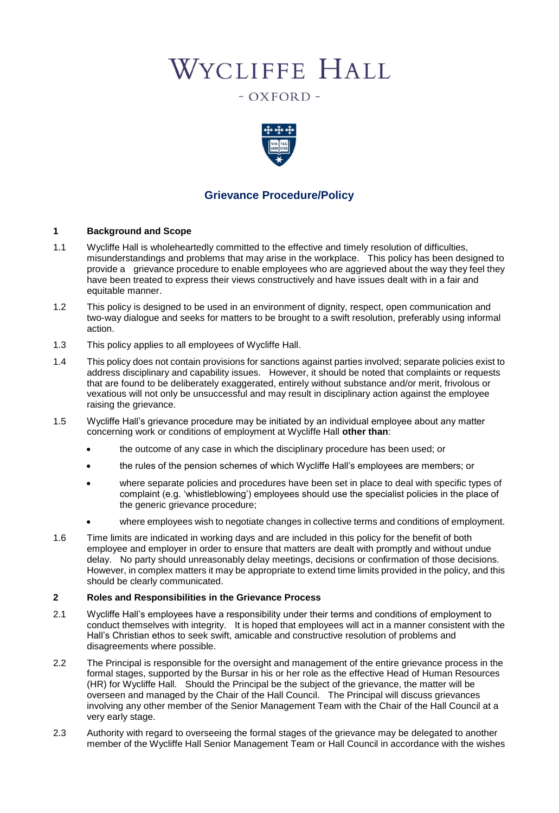# WYCLIFFE HALL

- OXFORD -



# **Grievance Procedure/Policy**

#### **1 Background and Scope**

- 1.1 Wycliffe Hall is wholeheartedly committed to the effective and timely resolution of difficulties, misunderstandings and problems that may arise in the workplace. This policy has been designed to provide a grievance procedure to enable employees who are aggrieved about the way they feel they have been treated to express their views constructively and have issues dealt with in a fair and equitable manner.
- 1.2 This policy is designed to be used in an environment of dignity, respect, open communication and two-way dialogue and seeks for matters to be brought to a swift resolution, preferably using informal action.
- 1.3 This policy applies to all employees of Wycliffe Hall.
- 1.4 This policy does not contain provisions for sanctions against parties involved; separate policies exist to address disciplinary and capability issues. However, it should be noted that complaints or requests that are found to be deliberately exaggerated, entirely without substance and/or merit, frivolous or vexatious will not only be unsuccessful and may result in disciplinary action against the employee raising the grievance.
- 1.5 Wycliffe Hall's grievance procedure may be initiated by an individual employee about any matter concerning work or conditions of employment at Wycliffe Hall **other than**:
	- the outcome of any case in which the disciplinary procedure has been used; or
	- the rules of the pension schemes of which Wycliffe Hall's employees are members; or
	- where separate policies and procedures have been set in place to deal with specific types of complaint (e.g. 'whistleblowing') employees should use the specialist policies in the place of the generic grievance procedure;
	- where employees wish to negotiate changes in collective terms and conditions of employment.
- 1.6 Time limits are indicated in working days and are included in this policy for the benefit of both employee and employer in order to ensure that matters are dealt with promptly and without undue delay. No party should unreasonably delay meetings, decisions or confirmation of those decisions. However, in complex matters it may be appropriate to extend time limits provided in the policy, and this should be clearly communicated.

#### **2 Roles and Responsibilities in the Grievance Process**

- 2.1 Wycliffe Hall's employees have a responsibility under their terms and conditions of employment to conduct themselves with integrity. It is hoped that employees will act in a manner consistent with the Hall's Christian ethos to seek swift, amicable and constructive resolution of problems and disagreements where possible.
- 2.2 The Principal is responsible for the oversight and management of the entire grievance process in the formal stages, supported by the Bursar in his or her role as the effective Head of Human Resources (HR) for Wycliffe Hall. Should the Principal be the subject of the grievance, the matter will be overseen and managed by the Chair of the Hall Council. The Principal will discuss grievances involving any other member of the Senior Management Team with the Chair of the Hall Council at a very early stage.
- 2.3 Authority with regard to overseeing the formal stages of the grievance may be delegated to another member of the Wycliffe Hall Senior Management Team or Hall Council in accordance with the wishes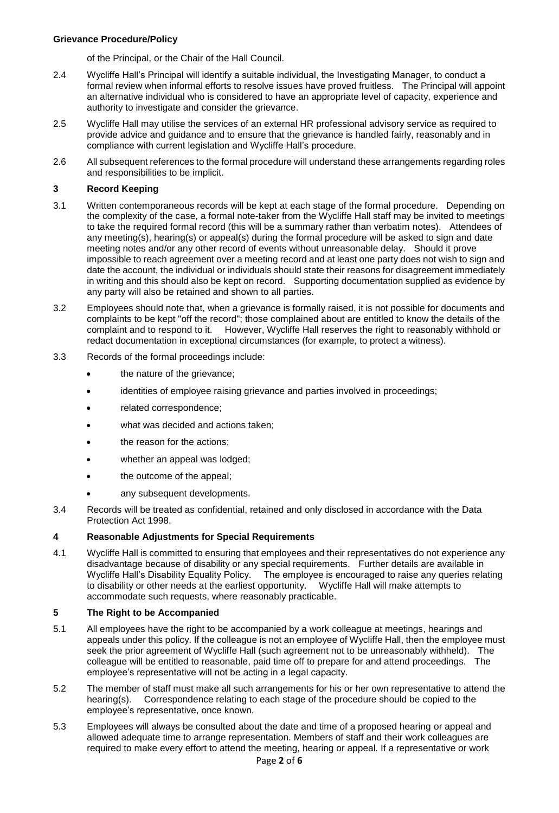#### **Grievance Procedure/Policy**

of the Principal, or the Chair of the Hall Council.

- 2.4 Wycliffe Hall's Principal will identify a suitable individual, the Investigating Manager, to conduct a formal review when informal efforts to resolve issues have proved fruitless. The Principal will appoint an alternative individual who is considered to have an appropriate level of capacity, experience and authority to investigate and consider the grievance.
- 2.5 Wycliffe Hall may utilise the services of an external HR professional advisory service as required to provide advice and guidance and to ensure that the grievance is handled fairly, reasonably and in compliance with current legislation and Wycliffe Hall's procedure.
- 2.6 All subsequent references to the formal procedure will understand these arrangements regarding roles and responsibilities to be implicit.

#### **3 Record Keeping**

- 3.1 Written contemporaneous records will be kept at each stage of the formal procedure. Depending on the complexity of the case, a formal note-taker from the Wycliffe Hall staff may be invited to meetings to take the required formal record (this will be a summary rather than verbatim notes). Attendees of any meeting(s), hearing(s) or appeal(s) during the formal procedure will be asked to sign and date meeting notes and/or any other record of events without unreasonable delay. Should it prove impossible to reach agreement over a meeting record and at least one party does not wish to sign and date the account, the individual or individuals should state their reasons for disagreement immediately in writing and this should also be kept on record. Supporting documentation supplied as evidence by any party will also be retained and shown to all parties.
- 3.2 Employees should note that, when a grievance is formally raised, it is not possible for documents and complaints to be kept "off the record"; those complained about are entitled to know the details of the complaint and to respond to it. However, Wycliffe Hall reserves the right to reasonably withhold or redact documentation in exceptional circumstances (for example, to protect a witness).
- 3.3 Records of the formal proceedings include:
	- the nature of the grievance;
	- identities of employee raising grievance and parties involved in proceedings;
	- related correspondence;
	- what was decided and actions taken;
	- the reason for the actions;
	- whether an appeal was lodged;
	- the outcome of the appeal;
	- any subsequent developments.
- 3.4 Records will be treated as confidential, retained and only disclosed in accordance with the Data Protection Act 1998.

#### **4 Reasonable Adjustments for Special Requirements**

4.1 Wycliffe Hall is committed to ensuring that employees and their representatives do not experience any disadvantage because of disability or any special requirements. Further details are available in Wycliffe Hall's Disability Equality Policy. The employee is encouraged to raise any queries relating to disability or other needs at the earliest opportunity. Wycliffe Hall will make attempts to accommodate such requests, where reasonably practicable.

#### **5 The Right to be Accompanied**

- 5.1 All employees have the right to be accompanied by a work colleague at meetings, hearings and appeals under this policy. If the colleague is not an employee of Wycliffe Hall, then the employee must seek the prior agreement of Wycliffe Hall (such agreement not to be unreasonably withheld). The colleague will be entitled to reasonable, paid time off to prepare for and attend proceedings. The employee's representative will not be acting in a legal capacity.
- 5.2 The member of staff must make all such arrangements for his or her own representative to attend the hearing(s). Correspondence relating to each stage of the procedure should be copied to the employee's representative, once known.
- 5.3 Employees will always be consulted about the date and time of a proposed hearing or appeal and allowed adequate time to arrange representation. Members of staff and their work colleagues are required to make every effort to attend the meeting, hearing or appeal. If a representative or work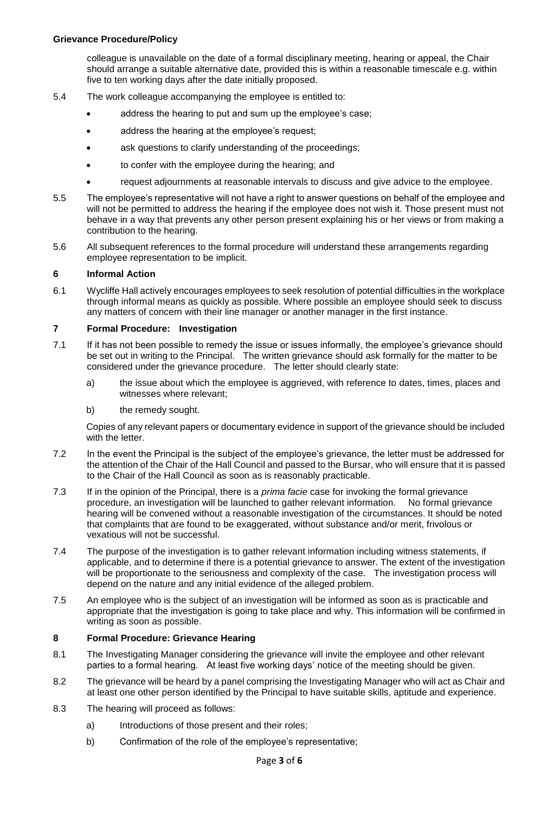colleague is unavailable on the date of a formal disciplinary meeting, hearing or appeal, the Chair should arrange a suitable alternative date, provided this is within a reasonable timescale e.g. within five to ten working days after the date initially proposed.

- 5.4 The work colleague accompanying the employee is entitled to:
	- address the hearing to put and sum up the employee's case;
	- address the hearing at the employee's request;
	- ask questions to clarify understanding of the proceedings;
	- to confer with the employee during the hearing; and
	- request adjournments at reasonable intervals to discuss and give advice to the employee.
- 5.5 The employee's representative will not have a right to answer questions on behalf of the employee and will not be permitted to address the hearing if the employee does not wish it. Those present must not behave in a way that prevents any other person present explaining his or her views or from making a contribution to the hearing.
- 5.6 All subsequent references to the formal procedure will understand these arrangements regarding employee representation to be implicit.

#### **6 Informal Action**

6.1 Wycliffe Hall actively encourages employees to seek resolution of potential difficulties in the workplace through informal means as quickly as possible. Where possible an employee should seek to discuss any matters of concern with their line manager or another manager in the first instance.

#### **7 Formal Procedure: Investigation**

- 7.1 If it has not been possible to remedy the issue or issues informally, the employee's grievance should be set out in writing to the Principal. The written grievance should ask formally for the matter to be considered under the grievance procedure. The letter should clearly state:
	- a) the issue about which the employee is aggrieved, with reference to dates, times, places and witnesses where relevant;
	- b) the remedy sought.

Copies of any relevant papers or documentary evidence in support of the grievance should be included with the letter.

- 7.2 In the event the Principal is the subject of the employee's grievance, the letter must be addressed for the attention of the Chair of the Hall Council and passed to the Bursar, who will ensure that it is passed to the Chair of the Hall Council as soon as is reasonably practicable.
- 7.3 If in the opinion of the Principal, there is a *prima facie* case for invoking the formal grievance procedure, an investigation will be launched to gather relevant information. No formal grievance hearing will be convened without a reasonable investigation of the circumstances. It should be noted that complaints that are found to be exaggerated, without substance and/or merit, frivolous or vexatious will not be successful.
- 7.4 The purpose of the investigation is to gather relevant information including witness statements, if applicable, and to determine if there is a potential grievance to answer. The extent of the investigation will be proportionate to the seriousness and complexity of the case. The investigation process will depend on the nature and any initial evidence of the alleged problem.
- 7.5 An employee who is the subject of an investigation will be informed as soon as is practicable and appropriate that the investigation is going to take place and why. This information will be confirmed in writing as soon as possible.

### **8 Formal Procedure: Grievance Hearing**

- 8.1 The Investigating Manager considering the grievance will invite the employee and other relevant parties to a formal hearing. At least five working days' notice of the meeting should be given.
- 8.2 The grievance will be heard by a panel comprising the Investigating Manager who will act as Chair and at least one other person identified by the Principal to have suitable skills, aptitude and experience.
- 8.3 The hearing will proceed as follows:
	- a) Introductions of those present and their roles;
	- b) Confirmation of the role of the employee's representative;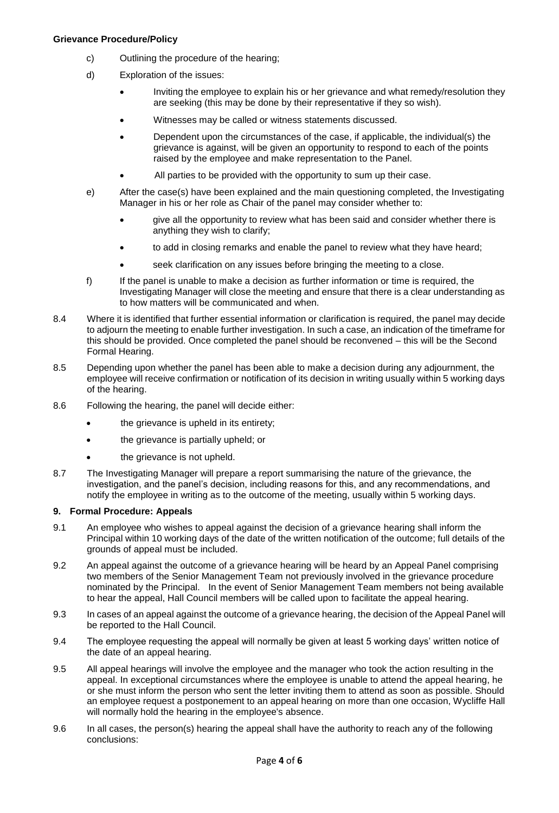#### **Grievance Procedure/Policy**

- c) Outlining the procedure of the hearing;
- d) Exploration of the issues:
	- Inviting the employee to explain his or her grievance and what remedy/resolution they are seeking (this may be done by their representative if they so wish).
	- Witnesses may be called or witness statements discussed.
	- Dependent upon the circumstances of the case, if applicable, the individual(s) the grievance is against, will be given an opportunity to respond to each of the points raised by the employee and make representation to the Panel.
	- All parties to be provided with the opportunity to sum up their case.
- e) After the case(s) have been explained and the main questioning completed, the Investigating Manager in his or her role as Chair of the panel may consider whether to:
	- give all the opportunity to review what has been said and consider whether there is anything they wish to clarify;
	- to add in closing remarks and enable the panel to review what they have heard;
	- seek clarification on any issues before bringing the meeting to a close.
- f) If the panel is unable to make a decision as further information or time is required, the Investigating Manager will close the meeting and ensure that there is a clear understanding as to how matters will be communicated and when.
- 8.4 Where it is identified that further essential information or clarification is required, the panel may decide to adjourn the meeting to enable further investigation. In such a case, an indication of the timeframe for this should be provided. Once completed the panel should be reconvened – this will be the Second Formal Hearing.
- 8.5 Depending upon whether the panel has been able to make a decision during any adjournment, the employee will receive confirmation or notification of its decision in writing usually within 5 working days of the hearing.
- 8.6 Following the hearing, the panel will decide either:
	- the grievance is upheld in its entirety:
	- the grievance is partially upheld; or
	- the grievance is not upheld.
- 8.7 The Investigating Manager will prepare a report summarising the nature of the grievance, the investigation, and the panel's decision, including reasons for this, and any recommendations, and notify the employee in writing as to the outcome of the meeting, usually within 5 working days.

#### **9. Formal Procedure: Appeals**

- 9.1 An employee who wishes to appeal against the decision of a grievance hearing shall inform the Principal within 10 working days of the date of the written notification of the outcome; full details of the grounds of appeal must be included.
- 9.2 An appeal against the outcome of a grievance hearing will be heard by an Appeal Panel comprising two members of the Senior Management Team not previously involved in the grievance procedure nominated by the Principal. In the event of Senior Management Team members not being available to hear the appeal, Hall Council members will be called upon to facilitate the appeal hearing.
- 9.3 In cases of an appeal against the outcome of a grievance hearing, the decision of the Appeal Panel will be reported to the Hall Council.
- 9.4 The employee requesting the appeal will normally be given at least 5 working days' written notice of the date of an appeal hearing.
- 9.5 All appeal hearings will involve the employee and the manager who took the action resulting in the appeal. In exceptional circumstances where the employee is unable to attend the appeal hearing, he or she must inform the person who sent the letter inviting them to attend as soon as possible. Should an employee request a postponement to an appeal hearing on more than one occasion, Wycliffe Hall will normally hold the hearing in the employee's absence.
- 9.6 In all cases, the person(s) hearing the appeal shall have the authority to reach any of the following conclusions: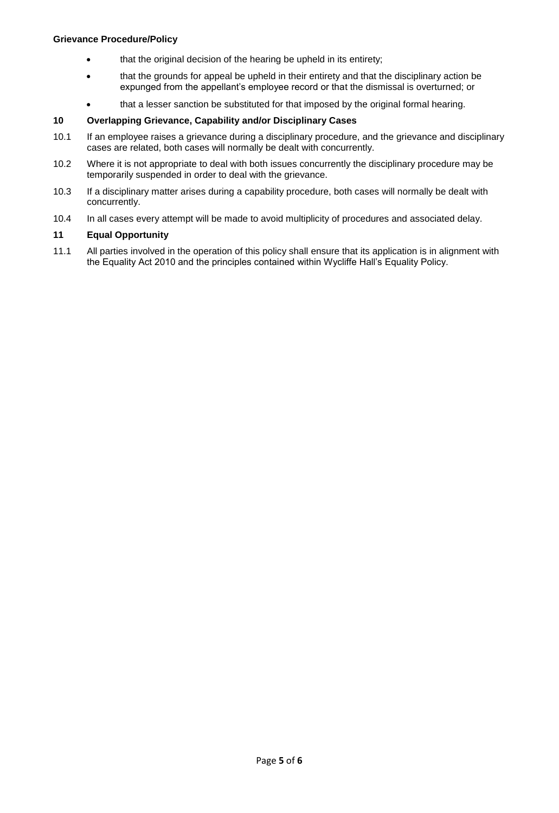- that the original decision of the hearing be upheld in its entirety;
- that the grounds for appeal be upheld in their entirety and that the disciplinary action be expunged from the appellant's employee record or that the dismissal is overturned; or
- that a lesser sanction be substituted for that imposed by the original formal hearing.

### **10 Overlapping Grievance, Capability and/or Disciplinary Cases**

- 10.1 If an employee raises a grievance during a disciplinary procedure, and the grievance and disciplinary cases are related, both cases will normally be dealt with concurrently.
- 10.2 Where it is not appropriate to deal with both issues concurrently the disciplinary procedure may be temporarily suspended in order to deal with the grievance.
- 10.3 If a disciplinary matter arises during a capability procedure, both cases will normally be dealt with concurrently.
- 10.4 In all cases every attempt will be made to avoid multiplicity of procedures and associated delay.

#### **11 Equal Opportunity**

11.1 All parties involved in the operation of this policy shall ensure that its application is in alignment with the Equality Act 2010 and the principles contained within Wycliffe Hall's Equality Policy.